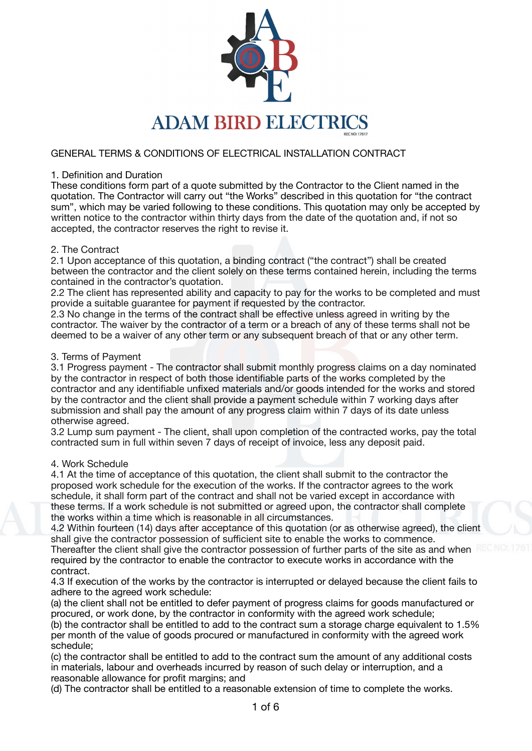

# GENERAL TERMS & CONDITIONS OF ELECTRICAL INSTALLATION CONTRACT

### 1. Definition and Duration

These conditions form part of a quote submitted by the Contractor to the Client named in the quotation. The Contractor will carry out "the Works" described in this quotation for "the contract sum", which may be varied following to these conditions. This quotation may only be accepted by written notice to the contractor within thirty days from the date of the quotation and, if not so accepted, the contractor reserves the right to revise it.

### 2. The Contract

2.1 Upon acceptance of this quotation, a binding contract ("the contract") shall be created between the contractor and the client solely on these terms contained herein, including the terms contained in the contractor's quotation.

2.2 The client has represented ability and capacity to pay for the works to be completed and must provide a suitable guarantee for payment if requested by the contractor.

2.3 No change in the terms of the contract shall be effective unless agreed in writing by the contractor. The waiver by the contractor of a term or a breach of any of these terms shall not be deemed to be a waiver of any other term or any subsequent breach of that or any other term.

#### 3. Terms of Payment

3.1 Progress payment - The contractor shall submit monthly progress claims on a day nominated by the contractor in respect of both those identifiable parts of the works completed by the contractor and any identifiable unfixed materials and/or goods intended for the works and stored by the contractor and the client shall provide a payment schedule within 7 working days after submission and shall pay the amount of any progress claim within 7 days of its date unless otherwise agreed.

3.2 Lump sum payment - The client, shall upon completion of the contracted works, pay the total contracted sum in full within seven 7 days of receipt of invoice, less any deposit paid.

#### 4. Work Schedule

4.1 At the time of acceptance of this quotation, the client shall submit to the contractor the proposed work schedule for the execution of the works. If the contractor agrees to the work schedule, it shall form part of the contract and shall not be varied except in accordance with these terms. If a work schedule is not submitted or agreed upon, the contractor shall complete the works within a time which is reasonable in all circumstances.

4.2 Within fourteen (14) days after acceptance of this quotation (or as otherwise agreed), the client shall give the contractor possession of sufficient site to enable the works to commence. Thereafter the client shall give the contractor possession of further parts of the site as and when required by the contractor to enable the contractor to execute works in accordance with the contract.

4.3 If execution of the works by the contractor is interrupted or delayed because the client fails to adhere to the agreed work schedule:

(a) the client shall not be entitled to defer payment of progress claims for goods manufactured or procured, or work done, by the contractor in conformity with the agreed work schedule;

(b) the contractor shall be entitled to add to the contract sum a storage charge equivalent to 1.5% per month of the value of goods procured or manufactured in conformity with the agreed work schedule;

(c) the contractor shall be entitled to add to the contract sum the amount of any additional costs in materials, labour and overheads incurred by reason of such delay or interruption, and a reasonable allowance for profit margins; and

(d) The contractor shall be entitled to a reasonable extension of time to complete the works.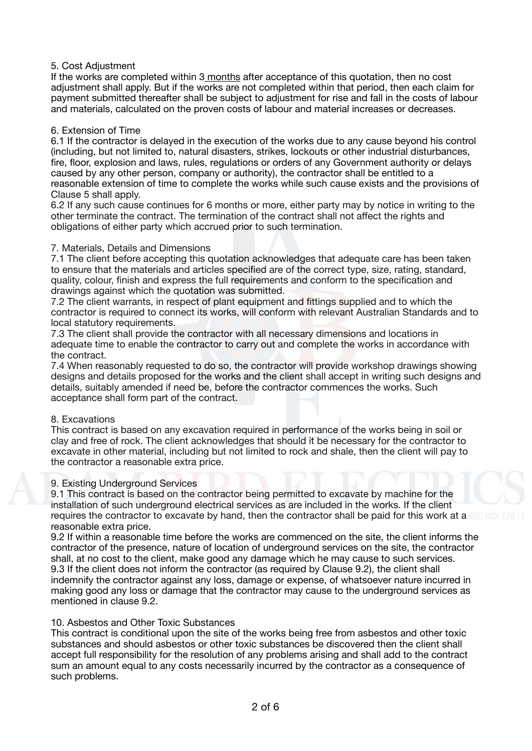# 5. Cost Adjustment

If the works are completed within 3 months after acceptance of this quotation, then no cost adjustment shall apply. But if the works are not completed within that period, then each claim for payment submitted thereafter shall be subject to adjustment for rise and fall in the costs of labour and materials, calculated on the proven costs of labour and material increases or decreases.

## 6. Extension of Time

6.1 If the contractor is delayed in the execution of the works due to any cause beyond his control (including, but not limited to, natural disasters, strikes, lockouts or other industrial disturbances, fire, floor, explosion and laws, rules, regulations or orders of any Government authority or delays caused by any other person, company or authority), the contractor shall be entitled to a reasonable extension of time to complete the works while such cause exists and the provisions of Clause 5 shall apply.

6.2 If any such cause continues for 6 months or more, either party may by notice in writing to the other terminate the contract. The termination of the contract shall not affect the rights and obligations of either party which accrued prior to such termination.

### 7. Materials, Details and Dimensions

7.1 The client before accepting this quotation acknowledges that adequate care has been taken to ensure that the materials and articles specified are of the correct type, size, rating, standard, quality, colour, finish and express the full requirements and conform to the specification and drawings against which the quotation was submitted.

7.2 The client warrants, in respect of plant equipment and fittings supplied and to which the contractor is required to connect its works, will conform with relevant Australian Standards and to local statutory requirements.

7.3 The client shall provide the contractor with all necessary dimensions and locations in adequate time to enable the contractor to carry out and complete the works in accordance with the contract.

7.4 When reasonably requested to do so, the contractor will provide workshop drawings showing designs and details proposed for the works and the client shall accept in writing such designs and details, suitably amended if need be, before the contractor commences the works. Such acceptance shall form part of the contract.

#### 8. Excavations

This contract is based on any excavation required in performance of the works being in soil or clay and free of rock. The client acknowledges that should it be necessary for the contractor to excavate in other material, including but not limited to rock and shale, then the client will pay to the contractor a reasonable extra price.

#### 9. Existing Underground Services

9.1 This contract is based on the contractor being permitted to excavate by machine for the installation of such underground electrical services as are included in the works. If the client requires the contractor to excavate by hand, then the contractor shall be paid for this work at a reasonable extra price.

9.2 If within a reasonable time before the works are commenced on the site, the client informs the contractor of the presence, nature of location of underground services on the site, the contractor shall, at no cost to the client, make good any damage which he may cause to such services. 9.3 If the client does not inform the contractor (as required by Clause 9.2), the client shall indemnify the contractor against any loss, damage or expense, of whatsoever nature incurred in making good any loss or damage that the contractor may cause to the underground services as mentioned in clause 9.2.

#### 10. Asbestos and Other Toxic Substances

This contract is conditional upon the site of the works being free from asbestos and other toxic substances and should asbestos or other toxic substances be discovered then the client shall accept full responsibility for the resolution of any problems arising and shall add to the contract sum an amount equal to any costs necessarily incurred by the contractor as a consequence of such problems.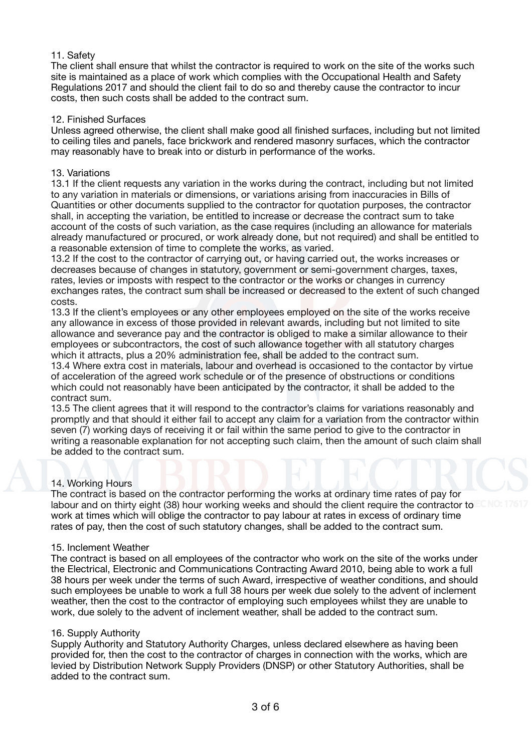## 11. Safety

The client shall ensure that whilst the contractor is required to work on the site of the works such site is maintained as a place of work which complies with the Occupational Health and Safety Regulations 2017 and should the client fail to do so and thereby cause the contractor to incur costs, then such costs shall be added to the contract sum.

### 12. Finished Surfaces

Unless agreed otherwise, the client shall make good all finished surfaces, including but not limited to ceiling tiles and panels, face brickwork and rendered masonry surfaces, which the contractor may reasonably have to break into or disturb in performance of the works.

### 13. Variations

13.1 If the client requests any variation in the works during the contract, including but not limited to any variation in materials or dimensions, or variations arising from inaccuracies in Bills of Quantities or other documents supplied to the contractor for quotation purposes, the contractor shall, in accepting the variation, be entitled to increase or decrease the contract sum to take account of the costs of such variation, as the case requires (including an allowance for materials already manufactured or procured, or work already done, but not required) and shall be entitled to a reasonable extension of time to complete the works, as varied.

13.2 If the cost to the contractor of carrying out, or having carried out, the works increases or decreases because of changes in statutory, government or semi-government charges, taxes, rates, levies or imposts with respect to the contractor or the works or changes in currency exchanges rates, the contract sum shall be increased or decreased to the extent of such changed costs.

13.3 If the client's employees or any other employees employed on the site of the works receive any allowance in excess of those provided in relevant awards, including but not limited to site allowance and severance pay and the contractor is obliged to make a similar allowance to their employees or subcontractors, the cost of such allowance together with all statutory charges which it attracts, plus a 20% administration fee, shall be added to the contract sum.

13.4 Where extra cost in materials, labour and overhead is occasioned to the contactor by virtue of acceleration of the agreed work schedule or of the presence of obstructions or conditions which could not reasonably have been anticipated by the contractor, it shall be added to the contract sum.

13.5 The client agrees that it will respond to the contractor's claims for variations reasonably and promptly and that should it either fail to accept any claim for a variation from the contractor within seven (7) working days of receiving it or fail within the same period to give to the contractor in writing a reasonable explanation for not accepting such claim, then the amount of such claim shall be added to the contract sum.

### 14. Working Hours

The contract is based on the contractor performing the works at ordinary time rates of pay for labour and on thirty eight (38) hour working weeks and should the client require the contractor to work at times which will oblige the contractor to pay labour at rates in excess of ordinary time rates of pay, then the cost of such statutory changes, shall be added to the contract sum.

#### 15. Inclement Weather

The contract is based on all employees of the contractor who work on the site of the works under the Electrical, Electronic and Communications Contracting Award 2010, being able to work a full 38 hours per week under the terms of such Award, irrespective of weather conditions, and should such employees be unable to work a full 38 hours per week due solely to the advent of inclement weather, then the cost to the contractor of employing such employees whilst they are unable to work, due solely to the advent of inclement weather, shall be added to the contract sum.

#### 16. Supply Authority

Supply Authority and Statutory Authority Charges, unless declared elsewhere as having been provided for, then the cost to the contractor of charges in connection with the works, which are levied by Distribution Network Supply Providers (DNSP) or other Statutory Authorities, shall be added to the contract sum.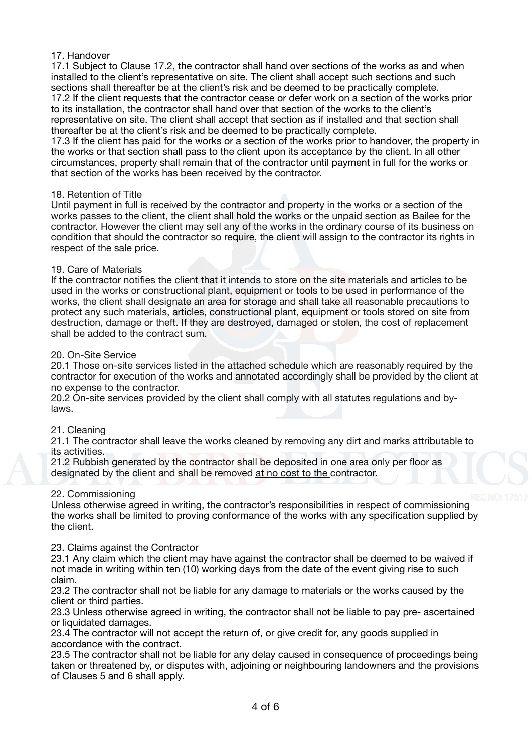## 17. Handover

17.1 Subject to Clause 17.2, the contractor shall hand over sections of the works as and when installed to the client's representative on site. The client shall accept such sections and such sections shall thereafter be at the client's risk and be deemed to be practically complete. 17.2 If the client requests that the contractor cease or defer work on a section of the works prior to its installation, the contractor shall hand over that section of the works to the client's representative on site. The client shall accept that section as if installed and that section shall thereafter be at the client's risk and be deemed to be practically complete.

17.3 If the client has paid for the works or a section of the works prior to handover, the property in the works or that section shall pass to the client upon its acceptance by the client. In all other circumstances, property shall remain that of the contractor until payment in full for the works or that section of the works has been received by the contractor.

#### 18. Retention of Title

Until payment in full is received by the contractor and property in the works or a section of the works passes to the client, the client shall hold the works or the unpaid section as Bailee for the contractor. However the client may sell any of the works in the ordinary course of its business on condition that should the contractor so require, the client will assign to the contractor its rights in respect of the sale price.

#### 19. Care of Materials

If the contractor notifies the client that it intends to store on the site materials and articles to be used in the works or constructional plant, equipment or tools to be used in performance of the works, the client shall designate an area for storage and shall take all reasonable precautions to protect any such materials, articles, constructional plant, equipment or tools stored on site from destruction, damage or theft. If they are destroyed, damaged or stolen, the cost of replacement shall be added to the contract sum.

#### 20. On-Site Service

20.1 Those on-site services listed in the attached schedule which are reasonably required by the contractor for execution of the works and annotated accordingly shall be provided by the client at no expense to the contractor.

20.2 On-site services provided by the client shall comply with all statutes regulations and bylaws.

#### 21. Cleaning

21.1 The contractor shall leave the works cleaned by removing any dirt and marks attributable to its activities.

21.2 Rubbish generated by the contractor shall be deposited in one area only per floor as designated by the client and shall be removed at no cost to the contractor.

#### 22. Commissioning

Unless otherwise agreed in writing, the contractor's responsibilities in respect of commissioning the works shall be limited to proving conformance of the works with any specification supplied by the client.

#### 23. Claims against the Contractor

23.1 Any claim which the client may have against the contractor shall be deemed to be waived if not made in writing within ten (10) working days from the date of the event giving rise to such claim.

23.2 The contractor shall not be liable for any damage to materials or the works caused by the client or third parties.

23.3 Unless otherwise agreed in writing, the contractor shall not be liable to pay pre- ascertained or liquidated damages.

23.4 The contractor will not accept the return of, or give credit for, any goods supplied in accordance with the contract.

23.5 The contractor shall not be liable for any delay caused in consequence of proceedings being taken or threatened by, or disputes with, adjoining or neighbouring landowners and the provisions of Clauses 5 and 6 shall apply.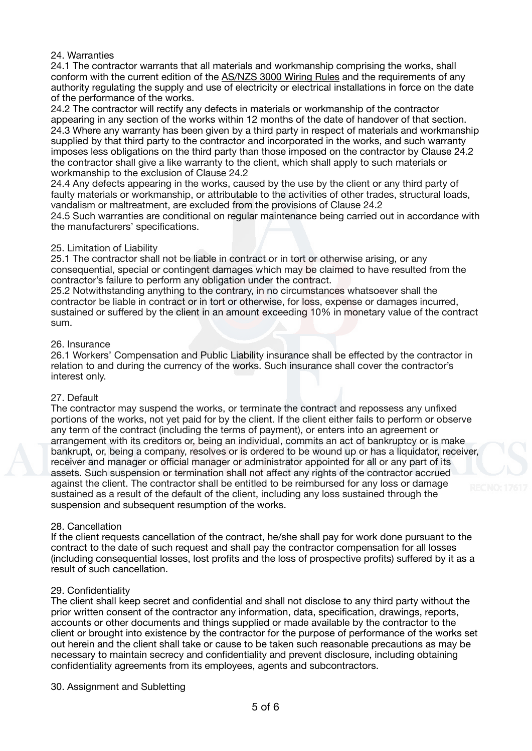### 24. Warranties

24.1 The contractor warrants that all materials and workmanship comprising the works, shall conform with the current edition of the AS/NZS 3000 Wiring Rules and the requirements of any authority regulating the supply and use of electricity or electrical installations in force on the date of the performance of the works.

24.2 The contractor will rectify any defects in materials or workmanship of the contractor appearing in any section of the works within 12 months of the date of handover of that section. 24.3 Where any warranty has been given by a third party in respect of materials and workmanship supplied by that third party to the contractor and incorporated in the works, and such warranty imposes less obligations on the third party than those imposed on the contractor by Clause 24.2 the contractor shall give a like warranty to the client, which shall apply to such materials or workmanship to the exclusion of Clause 24.2

24.4 Any defects appearing in the works, caused by the use by the client or any third party of faulty materials or workmanship, or attributable to the activities of other trades, structural loads, vandalism or maltreatment, are excluded from the provisions of Clause 24.2

24.5 Such warranties are conditional on regular maintenance being carried out in accordance with the manufacturers' specifications.

#### 25. Limitation of Liability

25.1 The contractor shall not be liable in contract or in tort or otherwise arising, or any consequential, special or contingent damages which may be claimed to have resulted from the contractor's failure to perform any obligation under the contract.

25.2 Notwithstanding anything to the contrary, in no circumstances whatsoever shall the contractor be liable in contract or in tort or otherwise, for loss, expense or damages incurred, sustained or suffered by the client in an amount exceeding 10% in monetary value of the contract sum.

#### 26. Insurance

26.1 Workers' Compensation and Public Liability insurance shall be effected by the contractor in relation to and during the currency of the works. Such insurance shall cover the contractor's interest only.

#### 27. Default

The contractor may suspend the works, or terminate the contract and repossess any unfixed portions of the works, not yet paid for by the client. If the client either fails to perform or observe any term of the contract (including the terms of payment), or enters into an agreement or arrangement with its creditors or, being an individual, commits an act of bankruptcy or is make bankrupt, or, being a company, resolves or is ordered to be wound up or has a liquidator, receiver, receiver and manager or official manager or administrator appointed for all or any part of its assets. Such suspension or termination shall not affect any rights of the contractor accrued against the client. The contractor shall be entitled to be reimbursed for any loss or damage sustained as a result of the default of the client, including any loss sustained through the suspension and subsequent resumption of the works.

#### 28. Cancellation

If the client requests cancellation of the contract, he/she shall pay for work done pursuant to the contract to the date of such request and shall pay the contractor compensation for all losses (including consequential losses, lost profits and the loss of prospective profits) suffered by it as a result of such cancellation.

#### 29. Confidentiality

The client shall keep secret and confidential and shall not disclose to any third party without the prior written consent of the contractor any information, data, specification, drawings, reports, accounts or other documents and things supplied or made available by the contractor to the client or brought into existence by the contractor for the purpose of performance of the works set out herein and the client shall take or cause to be taken such reasonable precautions as may be necessary to maintain secrecy and confidentiality and prevent disclosure, including obtaining confidentiality agreements from its employees, agents and subcontractors.

#### 30. Assignment and Subletting